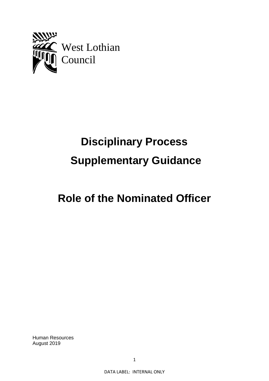

# **Disciplinary Process Supplementary Guidance**

# **Role of the Nominated Officer**

Human Resources August 2019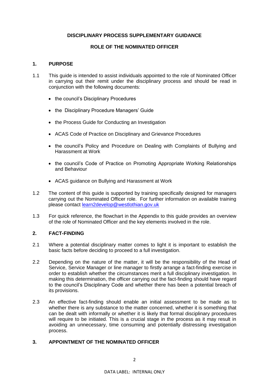# **DISCIPLINARY PROCESS SUPPLEMENTARY GUIDANCE**

# **ROLE OF THE NOMINATED OFFICER**

#### **1. PURPOSE**

- 1.1 This guide is intended to assist individuals appointed to the role of Nominated Officer in carrying out their remit under the disciplinary process and should be read in conjunction with the following documents:
	- the council's Disciplinary Procedures
	- the Disciplinary Procedure Managers' Guide
	- the Process Guide for Conducting an Investigation
	- ACAS Code of Practice on Disciplinary and Grievance Procedures
	- the council's Policy and Procedure on Dealing with Complaints of Bullying and Harassment at Work
	- the council's Code of Practice on Promoting Appropriate Working Relationships and Behaviour
	- ACAS guidance on Bullying and Harassment at Work
- 1.2 The content of this guide is supported by training specifically designed for managers carrying out the Nominated Officer role. For further information on available training please contact [learn2develop@westlothian.gov.uk](mailto:learn2develop@westlothian.gov.uk)
- 1.3 For quick reference, the flowchart in the Appendix to this guide provides an overview of the role of Nominated Officer and the key elements involved in the role.

# **2. FACT-FINDING**

- 2.1 Where a potential disciplinary matter comes to light it is important to establish the basic facts before deciding to proceed to a full investigation.
- 2.2 Depending on the nature of the matter, it will be the responsibility of the Head of Service, Service Manager or line manager to firstly arrange a fact-finding exercise in order to establish whether the circumstances merit a full disciplinary investigation. In making this determination, the officer carrying out the fact-finding should have regard to the council's Disciplinary Code and whether there has been a potential breach of its provisions.
- 2.3 An effective fact-finding should enable an initial assessment to be made as to whether there is any substance to the matter concerned, whether it is something that can be dealt with informally or whether it is likely that formal disciplinary procedures will require to be initiated. This is a crucial stage in the process as it may result in avoiding an unnecessary, time consuming and potentially distressing investigation process.

#### **3. APPOINTMENT OF THE NOMINATED OFFICER**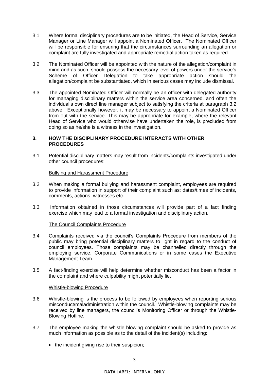- 3.1 Where formal disciplinary procedures are to be initiated, the Head of Service, Service Manager or Line Manager will appoint a Nominated Officer. The Nominated Officer will be responsible for ensuring that the circumstances surrounding an allegation or complaint are fully investigated and appropriate remedial action taken as required.
- 3.2 The Nominated Officer will be appointed with the nature of the allegation/complaint in mind and as such, should possess the necessary level of powers under the service's Scheme of Officer Delegation to take appropriate action should the allegation/complaint be substantiated, which in serious cases may include dismissal.
- 3.3 The appointed Nominated Officer will normally be an officer with delegated authority for managing disciplinary matters within the service area concerned, and often the individual's own direct line manager subject to satisfying the criteria at paragraph 3.2 above. Exceptionally however, it may be necessary to appoint a Nominated Officer from out with the service. This may be appropriate for example, where the relevant Head of Service who would otherwise have undertaken the role, is precluded from doing so as he/she is a witness in the investigation.

# **3. HOW THE DISCIPLINARY PROCEDURE INTERACTS WITH OTHER PROCEDURES**

3.1 Potential disciplinary matters may result from incidents/complaints investigated under other council procedures:

#### Bullying and Harassment Procedure

- 3.2 When making a formal bullying and harassment complaint, employees are required to provide information in support of their complaint such as: dates/times of incidents, comments, actions, witnesses etc.
- 3.3 Information obtained in those circumstances will provide part of a fact finding exercise which may lead to a formal investigation and disciplinary action.

# The Council Complaints Procedure

- 3.4 Complaints received via the council's Complaints Procedure from members of the public may bring potential disciplinary matters to light in regard to the conduct of council employees. Those complaints may be channelled directly through the employing service, Corporate Communications or in some cases the Executive Management Team.
- 3.5 A fact-finding exercise will help determine whether misconduct has been a factor in the complaint and where culpability might potentially lie.

#### Whistle-blowing Procedure

- 3.6 Whistle-blowing is the process to be followed by employees when reporting serious misconduct/maladministration within the council. Whistle-blowing complaints may be received by line managers, the council's Monitoring Officer or through the Whistle-Blowing Hotline.
- 3.7 The employee making the whistle-blowing complaint should be asked to provide as much information as possible as to the detail of the incident(s) including:
	- the incident giving rise to their suspicion;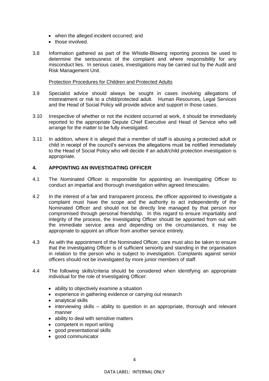- when the alleged incident occurred; and
- those involved.
- 3.8 Information gathered as part of the Whistle-Blowing reporting process be used to determine the seriousness of the complaint and where responsibility for any misconduct lies. In serious cases, investigations may be carried out by the Audit and Risk Management Unit.

#### Protection Procedures for Children and Protected Adults

- 3.9 Specialist advice should always be sought in cases involving allegations of mistreatment or risk to a child/protected adult. Human Resources, Legal Services and the Head of Social Policy will provide advice and support in those cases.
- 3.10 Irrespective of whether or not the incident occurred at work, it should be immediately reported to the appropriate Depute Chief Executive and Head of Service who will arrange for the matter to be fully investigated.
- 3.11 In addition, where it is alleged that a member of staff is abusing a protected adult or child in receipt of the council's services the allegations must be notified immediately to the Head of Social Policy who will decide if an adult/child protection investigation is appropriate.

# **4. APPOINTING AN INVESTIGATING OFFICER**

- 4.1 The Nominated Officer is responsible for appointing an Investigating Officer to conduct an impartial and thorough investigation within agreed timescales.
- 4.2 In the interest of a fair and transparent process, the officer appointed to investigate a complaint must have the scope and the authority to act independently of the Nominated Officer and should not be directly line managed by that person nor compromised through personal friendship. In this regard to ensure impartiality and integrity of the process, the Investigating Officer should be appointed from out with the immediate service area and depending on the circumstances, it may be appropriate to appoint an officer from another service entirely.
- 4.3 As with the appointment of the Nominated Officer, care must also be taken to ensure that the Investigating Officer is of sufficient seniority and standing in the organisation in relation to the person who is subject to investigation. Complaints against senior officers should not be investigated by more junior members of staff.
- 4.4 The following skills/criteria should be considered when identifying an appropriate individual for the role of Investigating Officer:
	- ability to objectively examine a situation
	- experience in gathering evidence or carrying out research
	- analytical skills
	- interviewing skills ability to question in an appropriate, thorough and relevant manner
	- ability to deal with sensitive matters
	- competent in report writing
	- good presentational skills
	- good communicator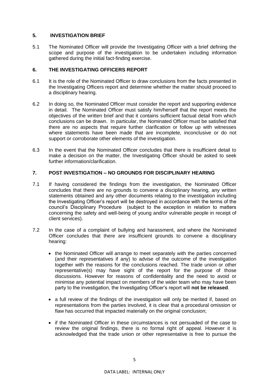# **5. INVESTIGATION BRIEF**

5.1 The Nominated Officer will provide the Investigating Officer with a brief defining the scope and purpose of the investigation to be undertaken including information gathered during the initial fact-finding exercise.

#### **6. THE INVESTIGATING OFFICERS REPORT**

- 6.1 It is the role of the Nominated Officer to draw conclusions from the facts presented in the Investigating Officers report and determine whether the matter should proceed to a disciplinary hearing.
- 6.2 In doing so, the Nominated Officer must consider the report and supporting evidence in detail. The Nominated Officer must satisfy him/herself that the report meets the objectives of the written brief and that it contains sufficient factual detail from which conclusions can be drawn. In particular, the Nominated Officer must be satisfied that there are no aspects that require further clarification or follow up with witnesses where statements have been made that are incomplete, inconclusive or do not support or corroborate other elements of the investigation.
- 6.3 In the event that the Nominated Officer concludes that there is insufficient detail to make a decision on the matter, the Investigating Officer should be asked to seek further information/clarification.

# **7. POST INVESTIGATION – NO GROUNDS FOR DISCIPLINARY HEARING**

- 7.1 If having considered the findings from the investigation, the Nominated Officer concludes that there are no grounds to convene a disciplinary hearing, any written statements obtained and any other documents relating to the investigation including the Investigating Officer's report will be destroyed in accordance with the terms of the council's Disciplinary Procedure (subject to the exception in relation to matters concerning the safety and well-being of young and/or vulnerable people in receipt of client services).
- 7.2 In the case of a complaint of bullying and harassment, and where the Nominated Officer concludes that there are insufficient grounds to convene a disciplinary hearing:
	- the Nominated Officer will arrange to meet separately with the parties concerned (and their representatives if any) to advise of the outcome of the investigation together with the reasons for the conclusions reached. The trade union or other representative(s) may have sight of the report for the purpose of those discussions. However for reasons of confidentiality and the need to avoid or minimise any potential impact on members of the wider team who may have been party to the investigation, the Investigating Officer's report will **not be released**.
	- a full review of the findings of the investigation will only be merited if, based on representations from the parties involved, it is clear that a procedural omission or flaw has occurred that impacted materially on the original conclusion;
	- if the Nominated Officer in these circumstances is not persuaded of the case to review the original findings, there is no formal right of appeal. However it is acknowledged that the trade union or other representative is free to pursue the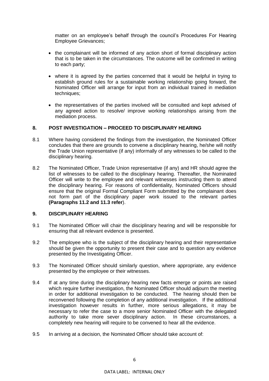matter on an employee's behalf through the council's Procedures For Hearing Employee Grievances;

- the complainant will be informed of any action short of formal disciplinary action that is to be taken in the circumstances. The outcome will be confirmed in writing to each party;
- where it is agreed by the parties concerned that it would be helpful in trying to establish ground rules for a sustainable working relationship going forward, the Nominated Officer will arrange for input from an individual trained in mediation techniques:
- the representatives of the parties involved will be consulted and kept advised of any agreed action to resolve/ improve working relationships arising from the mediation process.

#### **8. POST INVESTIGATION – PROCEED TO DISCIPLINARY HEARING**

- 8.1 Where having considered the findings from the investigation, the Nominated Officer concludes that there are grounds to convene a disciplinary hearing, he/she will notify the Trade Union representative (if any) informally of any witnesses to be called to the disciplinary hearing.
- 8.2 The Nominated Officer, Trade Union representative (if any) and HR should agree the list of witnesses to be called to the disciplinary hearing. Thereafter, the Nominated Officer will write to the employee and relevant witnesses instructing them to attend the disciplinary hearing. For reasons of confidentiality, Nominated Officers should ensure that the original Formal Compliant Form submitted by the complainant does not form part of the disciplinary paper work issued to the relevant parties **(Paragraphs 11.2 and 11.3 refer**).

#### **9. DISCIPLINARY HEARING**

- 9.1 The Nominated Officer will chair the disciplinary hearing and will be responsible for ensuring that all relevant evidence is presented.
- 9.2 The employee who is the subject of the disciplinary hearing and their representative should be given the opportunity to present their case and to question any evidence presented by the Investigating Officer.
- 9.3 The Nominated Officer should similarly question, where appropriate, any evidence presented by the employee or their witnesses.
- 9.4 If at any time during the disciplinary hearing new facts emerge or points are raised which require further investigation, the Nominated Officer should adjourn the meeting in order for additional investigation to be conducted. The hearing should then be reconvened following the completion of any additional investigation. If the additional investigation however results in further, more serious allegations, it may be necessary to refer the case to a more senior Nominated Officer with the delegated authority to take more sever disciplinary action. In these circumstances, a completely new hearing will require to be convened to hear all the evidence.
- 9.5 In arriving at a decision, the Nominated Officer should take account of: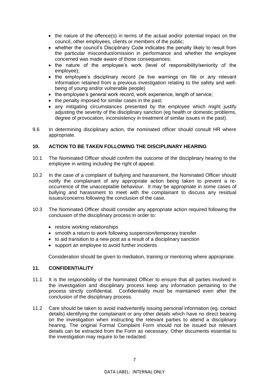- the nature of the offence(s) in terms of the actual and/or potential impact on the council, other employees, clients or members of the public;
- whether the council's Disciplinary Code indicates the penalty likely to result from the particular misconduct/omission in performance and whether the employee concerned was made aware of those consequences;
- the nature of the employee's work (level of responsibility/seniority of the employee);
- the employee's disciplinary record (ie live warnings on file or any relevant information retained from a previous investigation relating to the safety and wellbeing of young and/or vulnerable people)
- the employee's general work record, work experience, length of service;
- the penalty imposed for similar cases in the past;
- any mitigating circumstances presented by the employee which might justify adjusting the severity of the disciplinary sanction (eg health or domestic problems, degree of provocation, inconsistency in treatment of similar issues in the past).
- 9.6 In determining disciplinary action, the nominated officer should consult HR where appropriate.

# **10. ACTION TO BE TAKEN FOLLOWING THE DISCIPLINARY HEARING**

- 10.1 The Nominated Officer should confirm the outcome of the disciplinary hearing to the employee in writing including the right of appeal.
- 10.2 In the case of a complaint of bullying and harassment, the Nominated Officer should notify the complainant of any appropriate action being taken to prevent a reoccurrence of the unacceptable behaviour. It may be appropriate in some cases of bullying and harassment to meet with the complainant to discuss any residual issues/concerns following the conclusion of the case.
- 10.3 The Nominated Officer should consider any appropriate action required following the conclusion of the disciplinary process in order to:
	- restore working relationships
	- smooth a return to work following suspension/temporary transfer
	- to aid transition to a new post as a result of a disciplinary sanction
	- support an employee to avoid further incidents

Consideration should be given to mediation, training or mentoring where appropriate.

#### **11. CONFIDENTIALITY**

- 11.1 It is the responsibility of the Nominated Officer to ensure that all parties involved in the investigation and disciplinary process keep any information pertaining to the process strictly confidential. Confidentiality must be maintained even after the conclusion of the disciplinary process.
- 11.2 Care should be taken to avoid inadvertently issuing personal information (eg. contact details) identifying the complainant or any other details which have no direct bearing on the investigation when instructing the relevant parties to attend a disciplinary hearing. The original Formal Complaint Form should not be issued but relevant details can be extracted from the Form as necessary. Other documents essential to the investigation may require to be redacted.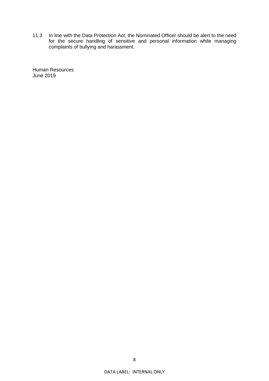11.3 In line with the Data Protection Act, the Nominated Officer should be alert to the need for the secure handling of sensitive and personal information while managing complaints of bullying and harassment.

Human Resources June 2019